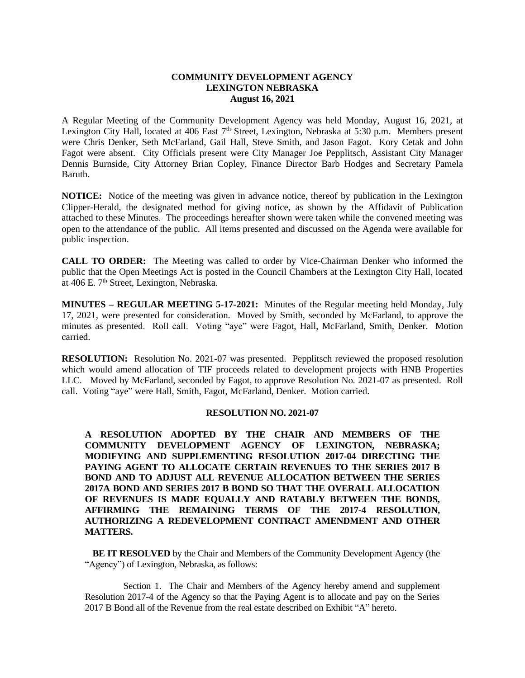### **COMMUNITY DEVELOPMENT AGENCY LEXINGTON NEBRASKA August 16, 2021**

A Regular Meeting of the Community Development Agency was held Monday, August 16, 2021, at Lexington City Hall, located at 406 East 7<sup>th</sup> Street, Lexington, Nebraska at 5:30 p.m. Members present were Chris Denker, Seth McFarland, Gail Hall, Steve Smith, and Jason Fagot. Kory Cetak and John Fagot were absent. City Officials present were City Manager Joe Pepplitsch, Assistant City Manager Dennis Burnside, City Attorney Brian Copley, Finance Director Barb Hodges and Secretary Pamela Baruth.

**NOTICE:** Notice of the meeting was given in advance notice, thereof by publication in the Lexington Clipper-Herald, the designated method for giving notice, as shown by the Affidavit of Publication attached to these Minutes. The proceedings hereafter shown were taken while the convened meeting was open to the attendance of the public. All items presented and discussed on the Agenda were available for public inspection.

**CALL TO ORDER:** The Meeting was called to order by Vice-Chairman Denker who informed the public that the Open Meetings Act is posted in the Council Chambers at the Lexington City Hall, located at 406 E.  $7<sup>th</sup>$  Street, Lexington, Nebraska.

**MINUTES – REGULAR MEETING 5-17-2021:** Minutes of the Regular meeting held Monday, July 17, 2021, were presented for consideration. Moved by Smith, seconded by McFarland, to approve the minutes as presented. Roll call. Voting "aye" were Fagot, Hall, McFarland, Smith, Denker. Motion carried.

**RESOLUTION:** Resolution No. 2021-07 was presented. Pepplitsch reviewed the proposed resolution which would amend allocation of TIF proceeds related to development projects with HNB Properties LLC. Moved by McFarland, seconded by Fagot, to approve Resolution No. 2021-07 as presented. Roll call. Voting "aye" were Hall, Smith, Fagot, McFarland, Denker. Motion carried.

### **RESOLUTION NO. 2021-07**

**A RESOLUTION ADOPTED BY THE CHAIR AND MEMBERS OF THE COMMUNITY DEVELOPMENT AGENCY OF LEXINGTON, NEBRASKA; MODIFYING AND SUPPLEMENTING RESOLUTION 2017-04 DIRECTING THE PAYING AGENT TO ALLOCATE CERTAIN REVENUES TO THE SERIES 2017 B BOND AND TO ADJUST ALL REVENUE ALLOCATION BETWEEN THE SERIES 2017A BOND AND SERIES 2017 B BOND SO THAT THE OVERALL ALLOCATION OF REVENUES IS MADE EQUALLY AND RATABLY BETWEEN THE BONDS, AFFIRMING THE REMAINING TERMS OF THE 2017-4 RESOLUTION, AUTHORIZING A REDEVELOPMENT CONTRACT AMENDMENT AND OTHER MATTERS.**

**BE IT RESOLVED** by the Chair and Members of the Community Development Agency (the "Agency") of Lexington, Nebraska, as follows:

Section 1. The Chair and Members of the Agency hereby amend and supplement Resolution 2017-4 of the Agency so that the Paying Agent is to allocate and pay on the Series 2017 B Bond all of the Revenue from the real estate described on Exhibit "A" hereto.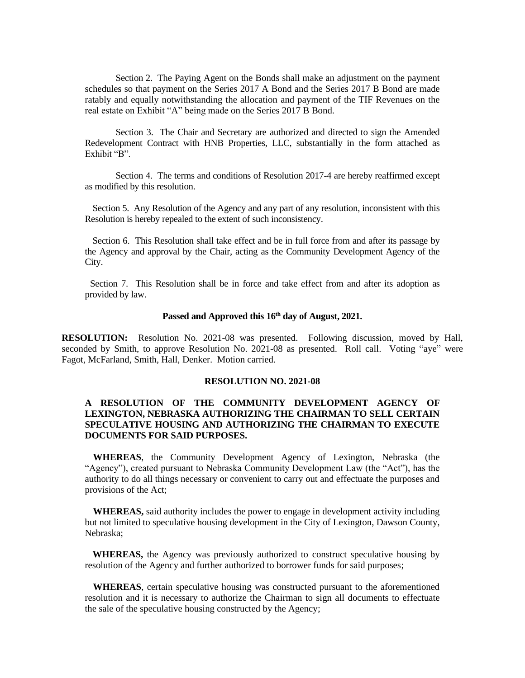Section 2. The Paying Agent on the Bonds shall make an adjustment on the payment schedules so that payment on the Series 2017 A Bond and the Series 2017 B Bond are made ratably and equally notwithstanding the allocation and payment of the TIF Revenues on the real estate on Exhibit "A" being made on the Series 2017 B Bond.

Section 3. The Chair and Secretary are authorized and directed to sign the Amended Redevelopment Contract with HNB Properties, LLC, substantially in the form attached as Exhibit "B".

Section 4. The terms and conditions of Resolution 2017-4 are hereby reaffirmed except as modified by this resolution.

Section 5. Any Resolution of the Agency and any part of any resolution, inconsistent with this Resolution is hereby repealed to the extent of such inconsistency.

Section 6. This Resolution shall take effect and be in full force from and after its passage by the Agency and approval by the Chair, acting as the Community Development Agency of the City.

Section 7. This Resolution shall be in force and take effect from and after its adoption as provided by law.

# **Passed and Approved this 16th day of August, 2021.**

**RESOLUTION:** Resolution No. 2021-08 was presented. Following discussion, moved by Hall, seconded by Smith, to approve Resolution No. 2021-08 as presented. Roll call. Voting "aye" were Fagot, McFarland, Smith, Hall, Denker. Motion carried.

#### **RESOLUTION NO. 2021-08**

## **A RESOLUTION OF THE COMMUNITY DEVELOPMENT AGENCY OF LEXINGTON, NEBRASKA AUTHORIZING THE CHAIRMAN TO SELL CERTAIN SPECULATIVE HOUSING AND AUTHORIZING THE CHAIRMAN TO EXECUTE DOCUMENTS FOR SAID PURPOSES.**

**WHEREAS**, the Community Development Agency of Lexington, Nebraska (the "Agency"), created pursuant to Nebraska Community Development Law (the "Act"), has the authority to do all things necessary or convenient to carry out and effectuate the purposes and provisions of the Act;

**WHEREAS,** said authority includes the power to engage in development activity including but not limited to speculative housing development in the City of Lexington, Dawson County, Nebraska;

**WHEREAS,** the Agency was previously authorized to construct speculative housing by resolution of the Agency and further authorized to borrower funds for said purposes;

**WHEREAS**, certain speculative housing was constructed pursuant to the aforementioned resolution and it is necessary to authorize the Chairman to sign all documents to effectuate the sale of the speculative housing constructed by the Agency;